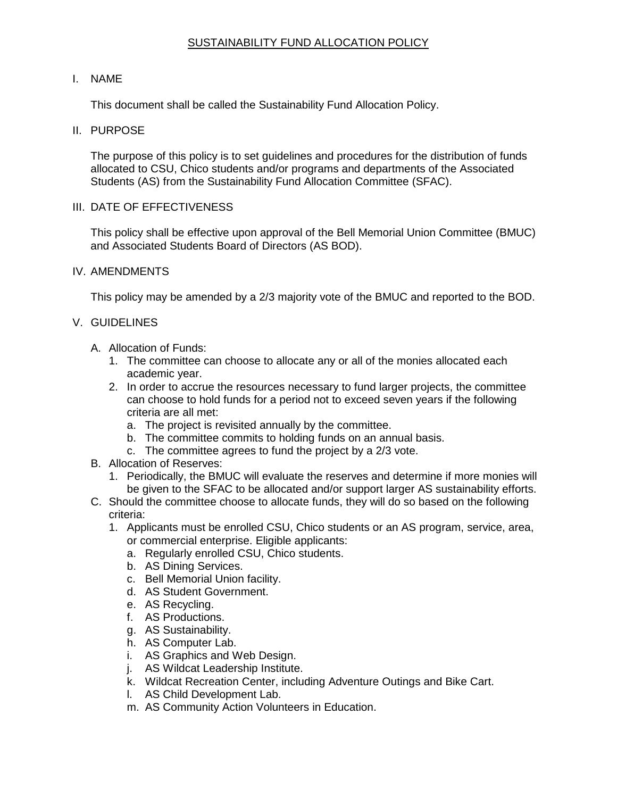# SUSTAINABILITY FUND ALLOCATION POLICY

# I. NAME

This document shall be called the Sustainability Fund Allocation Policy.

# II. PURPOSE

The purpose of this policy is to set guidelines and procedures for the distribution of funds allocated to CSU, Chico students and/or programs and departments of the Associated Students (AS) from the Sustainability Fund Allocation Committee (SFAC).

#### III. DATE OF EFFECTIVENESS

This policy shall be effective upon approval of the Bell Memorial Union Committee (BMUC) and Associated Students Board of Directors (AS BOD).

# IV. AMENDMENTS

This policy may be amended by a 2/3 majority vote of the BMUC and reported to the BOD.

# V. GUIDELINES

- A. Allocation of Funds:
	- 1. The committee can choose to allocate any or all of the monies allocated each academic year.
	- 2. In order to accrue the resources necessary to fund larger projects, the committee can choose to hold funds for a period not to exceed seven years if the following criteria are all met:
		- a. The project is revisited annually by the committee.
		- b. The committee commits to holding funds on an annual basis.
		- c. The committee agrees to fund the project by a 2/3 vote.
- B. Allocation of Reserves:
	- 1. Periodically, the BMUC will evaluate the reserves and determine if more monies will be given to the SFAC to be allocated and/or support larger AS sustainability efforts.
- C. Should the committee choose to allocate funds, they will do so based on the following criteria:
	- 1. Applicants must be enrolled CSU, Chico students or an AS program, service, area, or commercial enterprise. Eligible applicants:
		- a. Regularly enrolled CSU, Chico students.
		- b. AS Dining Services.
		- c. Bell Memorial Union facility.
		- d. AS Student Government.
		- e. AS Recycling.
		- f. AS Productions.
		- g. AS Sustainability.
		- h. AS Computer Lab.
		- i. AS Graphics and Web Design.
		- j. AS Wildcat Leadership Institute.
		- k. Wildcat Recreation Center, including Adventure Outings and Bike Cart.
		- l. AS Child Development Lab.
		- m. AS Community Action Volunteers in Education.